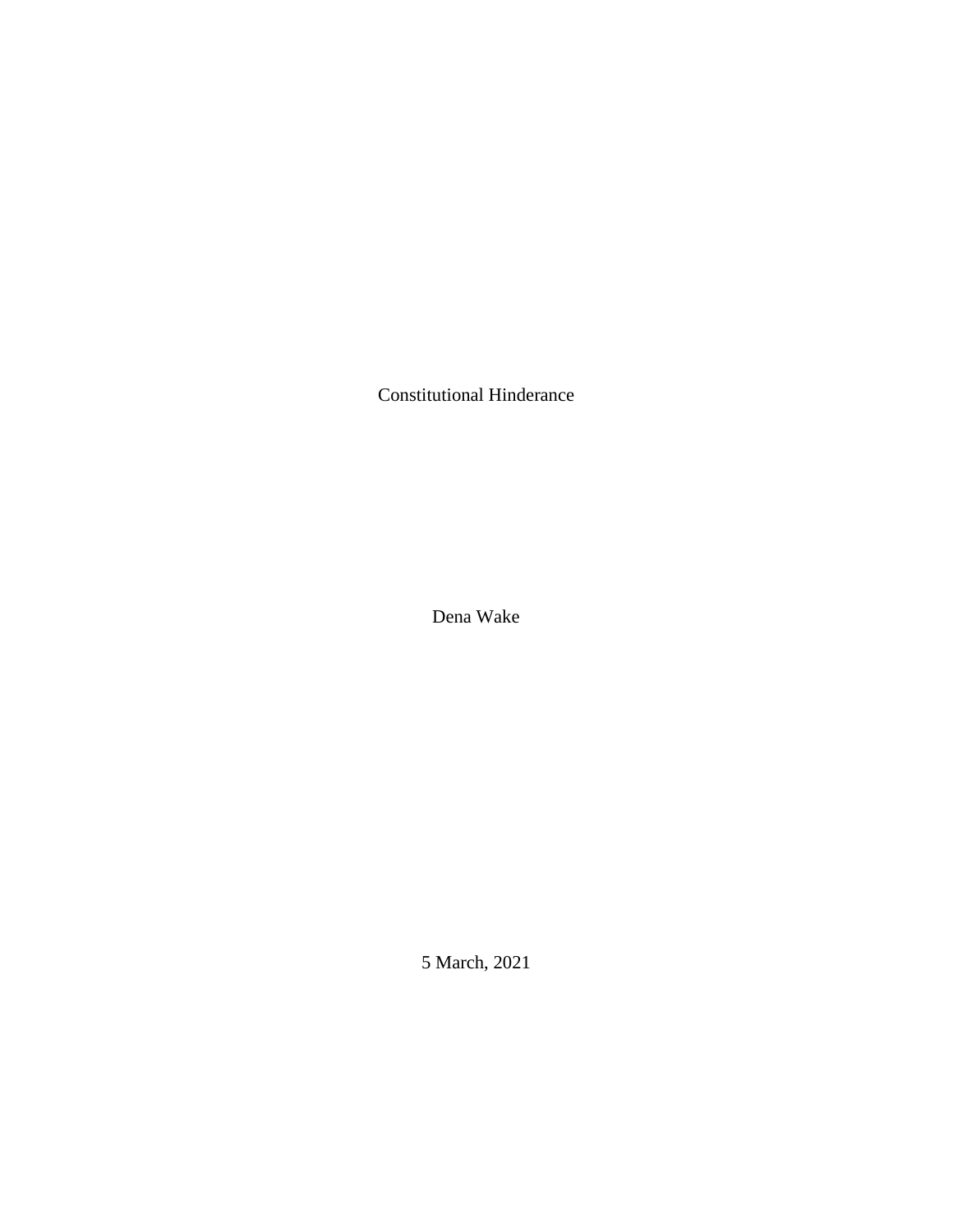Constitutional Hinderance

Dena Wake

5 March, 2021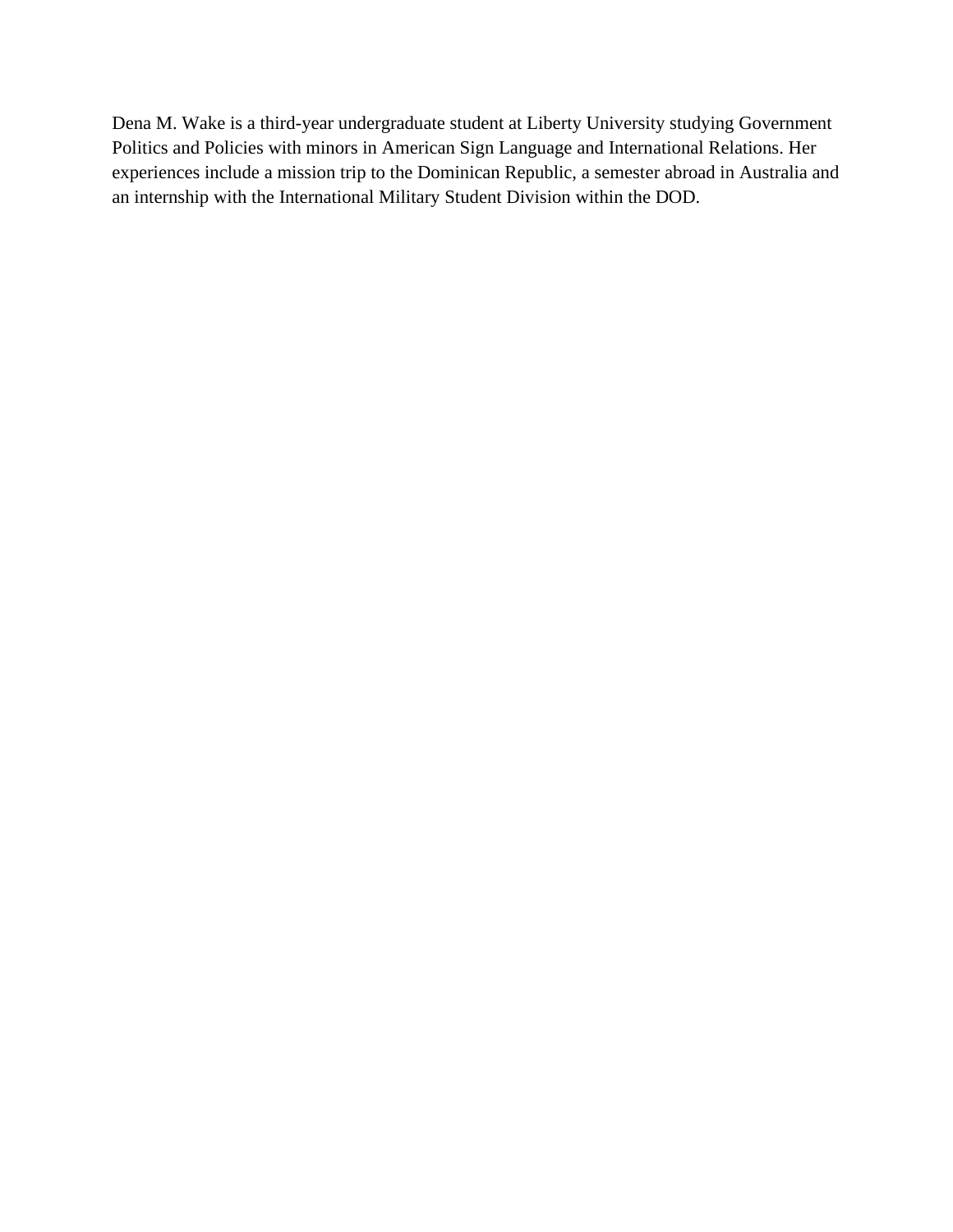Dena M. Wake is a third-year undergraduate student at Liberty University studying Government Politics and Policies with minors in American Sign Language and International Relations. Her experiences include a mission trip to the Dominican Republic, a semester abroad in Australia and an internship with the International Military Student Division within the DOD.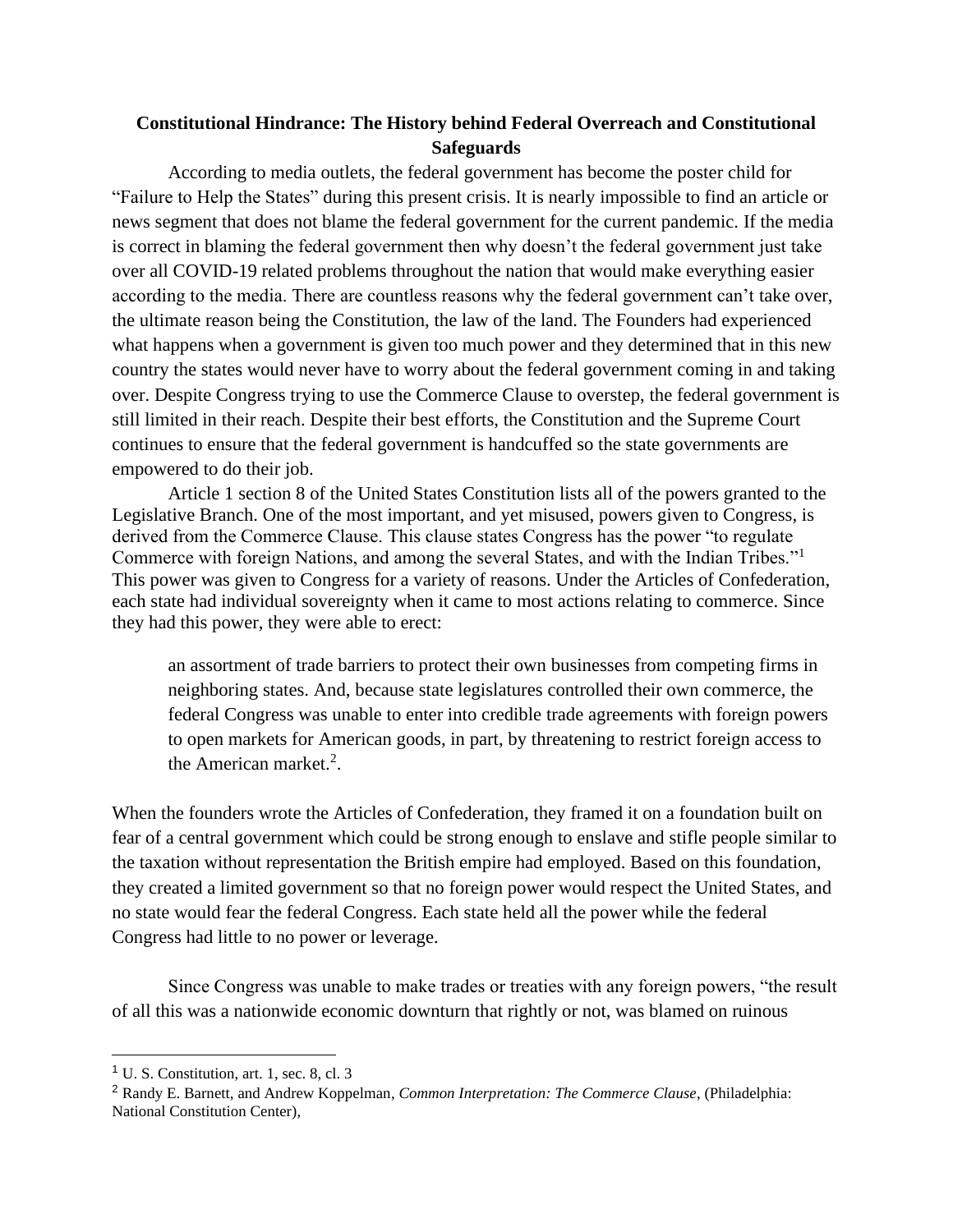## **Constitutional Hindrance: The History behind Federal Overreach and Constitutional Safeguards**

According to media outlets, the federal government has become the poster child for "Failure to Help the States" during this present crisis. It is nearly impossible to find an article or news segment that does not blame the federal government for the current pandemic. If the media is correct in blaming the federal government then why doesn't the federal government just take over all COVID-19 related problems throughout the nation that would make everything easier according to the media. There are countless reasons why the federal government can't take over, the ultimate reason being the Constitution, the law of the land. The Founders had experienced what happens when a government is given too much power and they determined that in this new country the states would never have to worry about the federal government coming in and taking over. Despite Congress trying to use the Commerce Clause to overstep, the federal government is still limited in their reach. Despite their best efforts, the Constitution and the Supreme Court continues to ensure that the federal government is handcuffed so the state governments are empowered to do their job.

Article 1 section 8 of the United States Constitution lists all of the powers granted to the Legislative Branch. One of the most important, and yet misused, powers given to Congress, is derived from the Commerce Clause. This clause states Congress has the power "to regulate Commerce with foreign Nations, and among the several States, and with the Indian Tribes."<sup>1</sup> This power was given to Congress for a variety of reasons. Under the Articles of Confederation, each state had individual sovereignty when it came to most actions relating to commerce. Since they had this power, they were able to erect:

an assortment of trade barriers to protect their own businesses from competing firms in neighboring states. And, because state legislatures controlled their own commerce, the federal Congress was unable to enter into credible trade agreements with foreign powers to open markets for American goods, in part, by threatening to restrict foreign access to the American market.<sup>2</sup>.

When the founders wrote the Articles of Confederation, they framed it on a foundation built on fear of a central government which could be strong enough to enslave and stifle people similar to the taxation without representation the British empire had employed. Based on this foundation, they created a limited government so that no foreign power would respect the United States, and no state would fear the federal Congress. Each state held all the power while the federal Congress had little to no power or leverage.

Since Congress was unable to make trades or treaties with any foreign powers, "the result of all this was a nationwide economic downturn that rightly or not, was blamed on ruinous

 $<sup>1</sup>$  U. S. Constitution, art. 1, sec. 8, cl. 3</sup>

<sup>2</sup> Randy E. Barnett, and Andrew Koppelman, *Common Interpretation: The Commerce Clause*, (Philadelphia: National Constitution Center),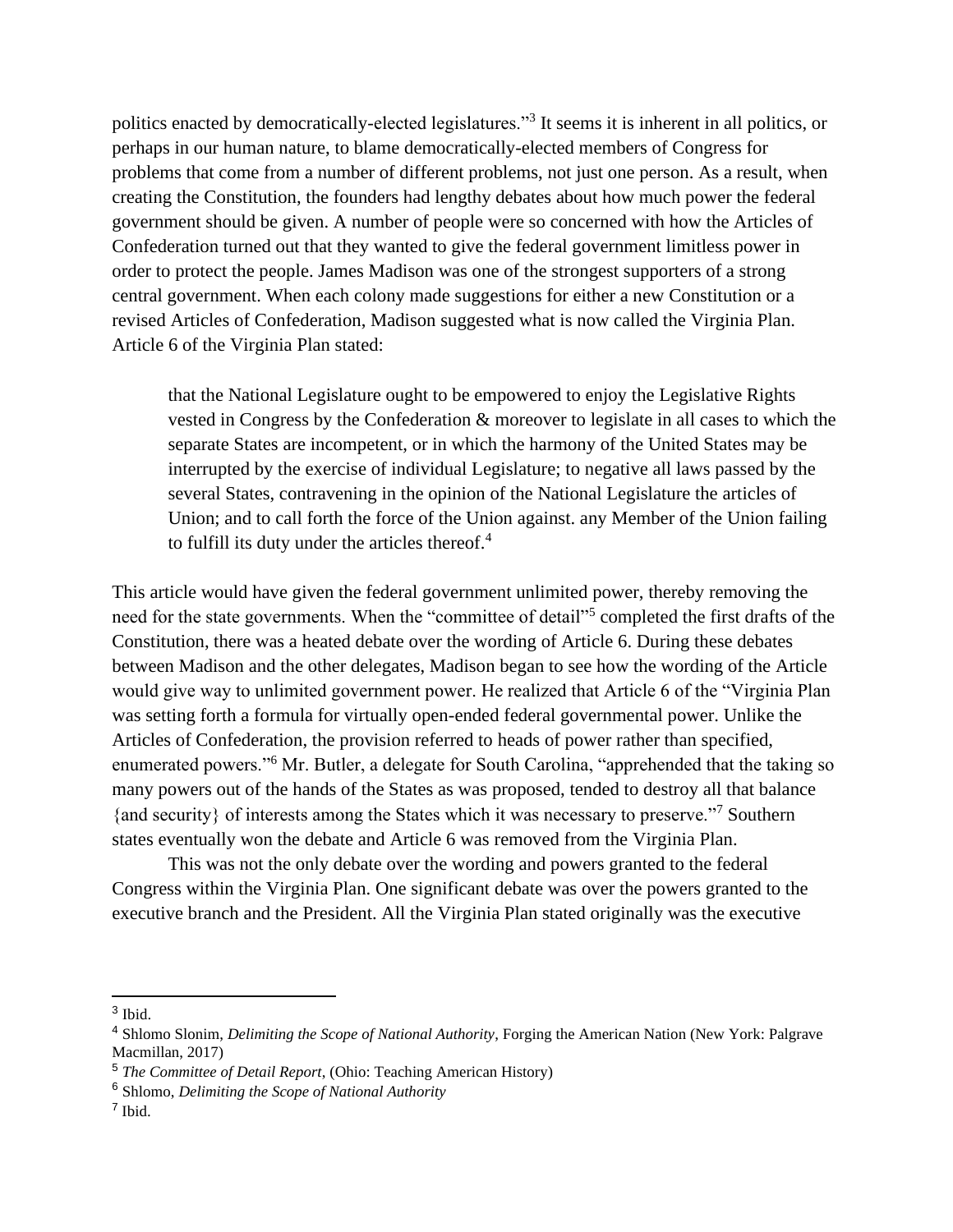politics enacted by democratically-elected legislatures."<sup>3</sup> It seems it is inherent in all politics, or perhaps in our human nature, to blame democratically-elected members of Congress for problems that come from a number of different problems, not just one person. As a result, when creating the Constitution, the founders had lengthy debates about how much power the federal government should be given. A number of people were so concerned with how the Articles of Confederation turned out that they wanted to give the federal government limitless power in order to protect the people. James Madison was one of the strongest supporters of a strong central government. When each colony made suggestions for either a new Constitution or a revised Articles of Confederation, Madison suggested what is now called the Virginia Plan. Article 6 of the Virginia Plan stated:

that the National Legislature ought to be empowered to enjoy the Legislative Rights vested in Congress by the Confederation & moreover to legislate in all cases to which the separate States are incompetent, or in which the harmony of the United States may be interrupted by the exercise of individual Legislature; to negative all laws passed by the several States, contravening in the opinion of the National Legislature the articles of Union; and to call forth the force of the Union against. any Member of the Union failing to fulfill its duty under the articles thereof. $4$ 

This article would have given the federal government unlimited power, thereby removing the need for the state governments. When the "committee of detail"<sup>5</sup> completed the first drafts of the Constitution, there was a heated debate over the wording of Article 6. During these debates between Madison and the other delegates, Madison began to see how the wording of the Article would give way to unlimited government power. He realized that Article 6 of the "Virginia Plan was setting forth a formula for virtually open-ended federal governmental power. Unlike the Articles of Confederation, the provision referred to heads of power rather than specified, enumerated powers."<sup>6</sup> Mr. Butler, a delegate for South Carolina, "apprehended that the taking so many powers out of the hands of the States as was proposed, tended to destroy all that balance {and security} of interests among the States which it was necessary to preserve."<sup>7</sup> Southern states eventually won the debate and Article 6 was removed from the Virginia Plan.

This was not the only debate over the wording and powers granted to the federal Congress within the Virginia Plan. One significant debate was over the powers granted to the executive branch and the President. All the Virginia Plan stated originally was the executive

<sup>3</sup> Ibid.

<sup>4</sup> Shlomo Slonim, *Delimiting the Scope of National Authority*, Forging the American Nation (New York: Palgrave Macmillan, 2017)

<sup>5</sup> *The Committee of Detail Report*, (Ohio: Teaching American History)

<sup>6</sup> Shlomo, *Delimiting the Scope of National Authority*

<sup>7</sup> Ibid.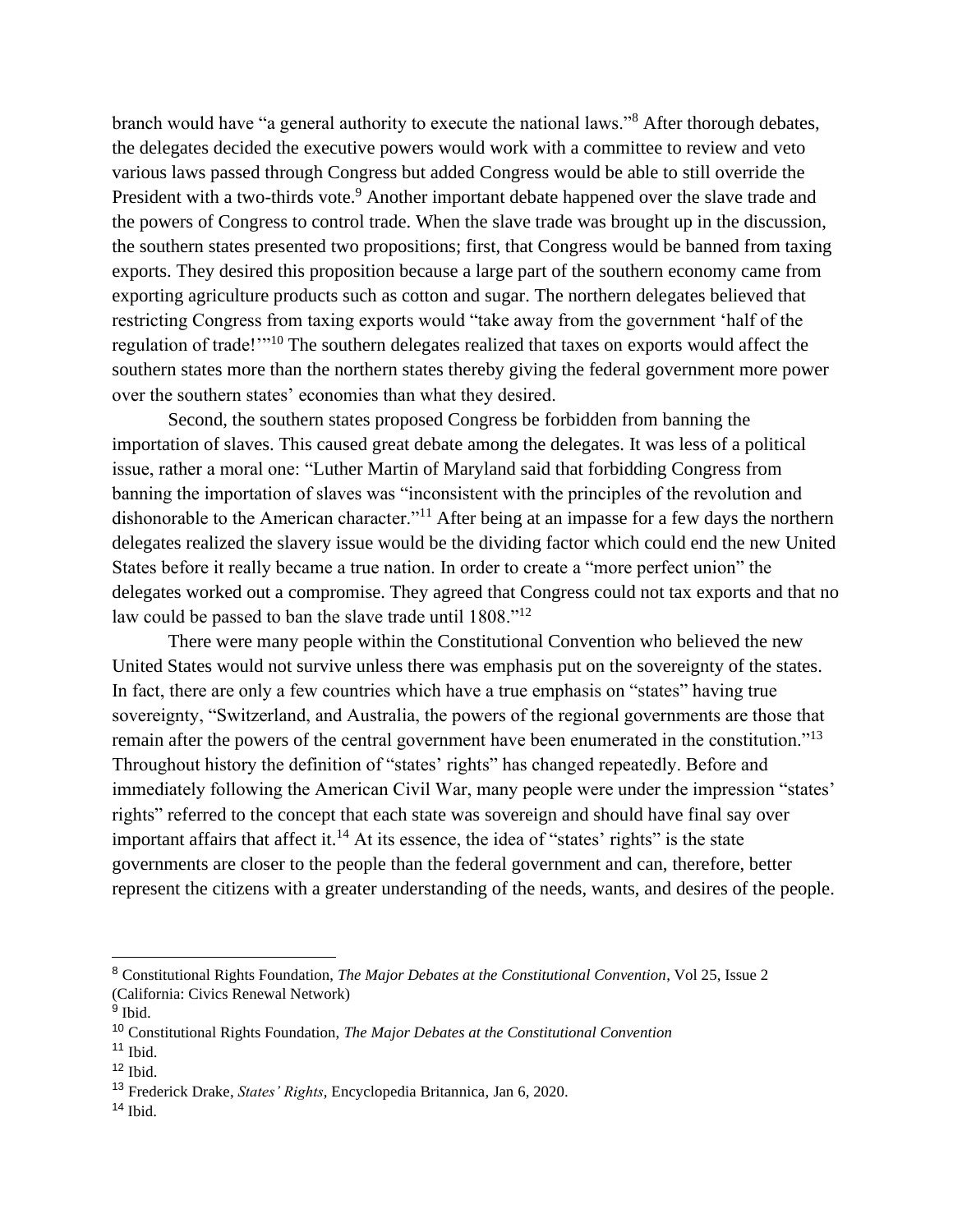branch would have "a general authority to execute the national laws."<sup>8</sup> After thorough debates, the delegates decided the executive powers would work with a committee to review and veto various laws passed through Congress but added Congress would be able to still override the President with a two-thirds vote.<sup>9</sup> Another important debate happened over the slave trade and the powers of Congress to control trade. When the slave trade was brought up in the discussion, the southern states presented two propositions; first, that Congress would be banned from taxing exports. They desired this proposition because a large part of the southern economy came from exporting agriculture products such as cotton and sugar. The northern delegates believed that restricting Congress from taxing exports would "take away from the government 'half of the regulation of trade!"<sup>10</sup> The southern delegates realized that taxes on exports would affect the southern states more than the northern states thereby giving the federal government more power over the southern states' economies than what they desired.

Second, the southern states proposed Congress be forbidden from banning the importation of slaves. This caused great debate among the delegates. It was less of a political issue, rather a moral one: "Luther Martin of Maryland said that forbidding Congress from banning the importation of slaves was "inconsistent with the principles of the revolution and dishonorable to the American character."<sup>11</sup> After being at an impasse for a few days the northern delegates realized the slavery issue would be the dividing factor which could end the new United States before it really became a true nation. In order to create a "more perfect union" the delegates worked out a compromise. They agreed that Congress could not tax exports and that no law could be passed to ban the slave trade until 1808."<sup>12</sup>

There were many people within the Constitutional Convention who believed the new United States would not survive unless there was emphasis put on the sovereignty of the states. In fact, there are only a few countries which have a true emphasis on "states" having true sovereignty, "Switzerland, and Australia, the powers of the regional governments are those that remain after the powers of the central government have been enumerated in the constitution."<sup>13</sup> Throughout history the definition of "states' rights" has changed repeatedly. Before and immediately following the American Civil War, many people were under the impression "states' rights" referred to the concept that each state was sovereign and should have final say over important affairs that affect it.<sup>14</sup> At its essence, the idea of "states' rights" is the state governments are closer to the people than the federal government and can, therefore, better represent the citizens with a greater understanding of the needs, wants, and desires of the people.

<sup>8</sup> Constitutional Rights Foundation, *The Major Debates at the Constitutional Convention*, Vol 25, Issue 2 (California: Civics Renewal Network)

<sup>&</sup>lt;sup>9</sup> Ibid.

<sup>10</sup> Constitutional Rights Foundation, *The Major Debates at the Constitutional Convention*

 $11$  Ibid.

 $12$  Ibid.

<sup>13</sup> Frederick Drake, *States' Rights*, Encyclopedia Britannica, Jan 6, 2020.

 $14$  Ibid.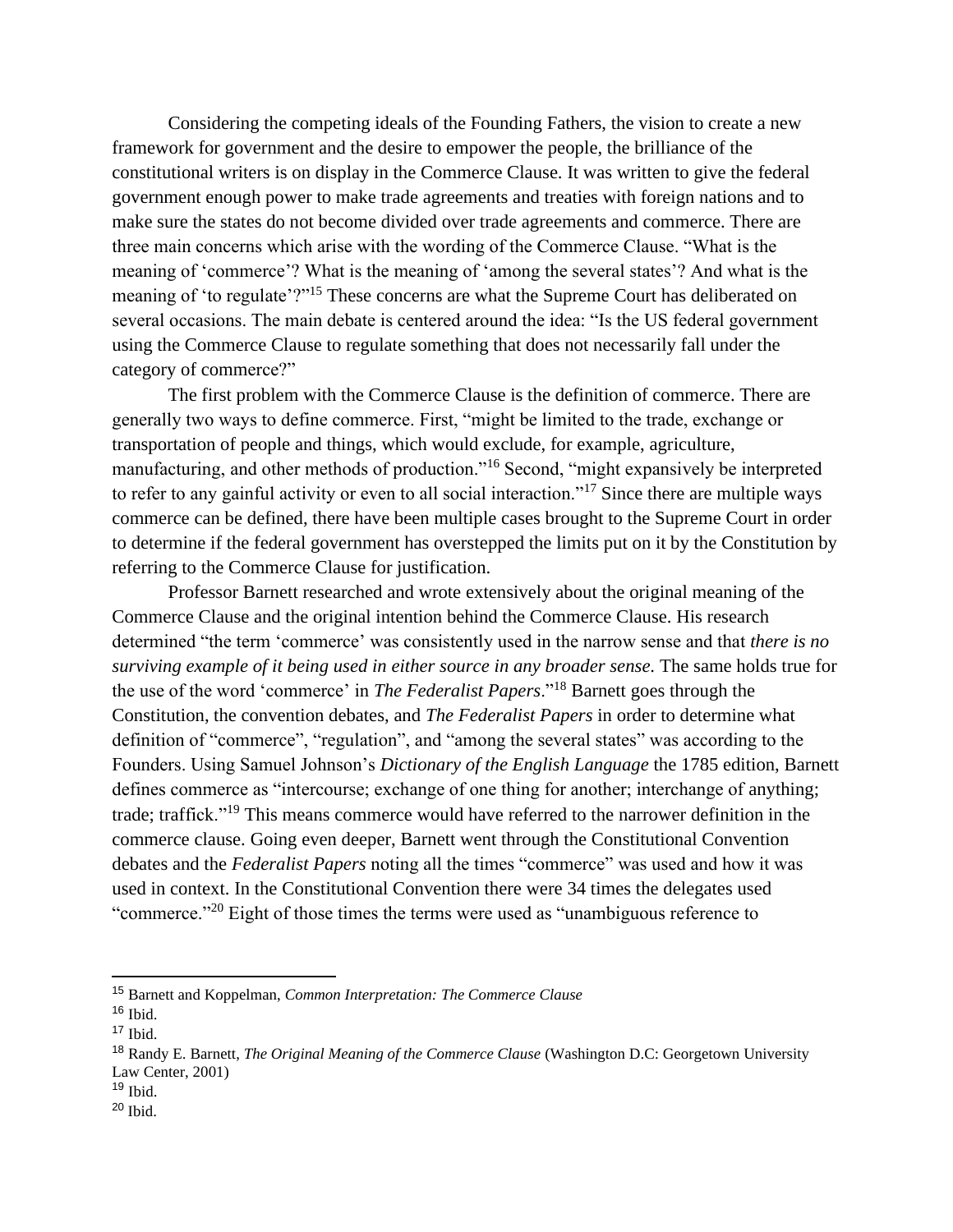Considering the competing ideals of the Founding Fathers, the vision to create a new framework for government and the desire to empower the people, the brilliance of the constitutional writers is on display in the Commerce Clause. It was written to give the federal government enough power to make trade agreements and treaties with foreign nations and to make sure the states do not become divided over trade agreements and commerce. There are three main concerns which arise with the wording of the Commerce Clause. "What is the meaning of 'commerce'? What is the meaning of 'among the several states'? And what is the meaning of 'to regulate'?"<sup>15</sup> These concerns are what the Supreme Court has deliberated on several occasions. The main debate is centered around the idea: "Is the US federal government using the Commerce Clause to regulate something that does not necessarily fall under the category of commerce?"

The first problem with the Commerce Clause is the definition of commerce. There are generally two ways to define commerce. First, "might be limited to the trade, exchange or transportation of people and things, which would exclude, for example, agriculture, manufacturing, and other methods of production."<sup>16</sup> Second, "might expansively be interpreted to refer to any gainful activity or even to all social interaction."<sup>17</sup> Since there are multiple ways commerce can be defined, there have been multiple cases brought to the Supreme Court in order to determine if the federal government has overstepped the limits put on it by the Constitution by referring to the Commerce Clause for justification.

Professor Barnett researched and wrote extensively about the original meaning of the Commerce Clause and the original intention behind the Commerce Clause. His research determined "the term 'commerce' was consistently used in the narrow sense and that *there is no surviving example of it being used in either source in any broader sense*. The same holds true for the use of the word 'commerce' in *The Federalist Papers*."<sup>18</sup> Barnett goes through the Constitution, the convention debates, and *The Federalist Papers* in order to determine what definition of "commerce", "regulation", and "among the several states" was according to the Founders. Using Samuel Johnson's *Dictionary of the English Language* the 1785 edition, Barnett defines commerce as "intercourse; exchange of one thing for another; interchange of anything; trade; traffick."<sup>19</sup> This means commerce would have referred to the narrower definition in the commerce clause. Going even deeper, Barnett went through the Constitutional Convention debates and the *Federalist Papers* noting all the times "commerce" was used and how it was used in context. In the Constitutional Convention there were 34 times the delegates used "commerce."<sup>20</sup> Eight of those times the terms were used as "unambiguous reference to

<sup>15</sup> Barnett and Koppelman, *Common Interpretation: The Commerce Clause*

<sup>16</sup> Ibid.

 $17$  Ibid.

<sup>18</sup> Randy E. Barnett, *The Original Meaning of the Commerce Clause* (Washington D.C: Georgetown University Law Center, 2001)

 $19$  Ibid.

<sup>20</sup> Ibid.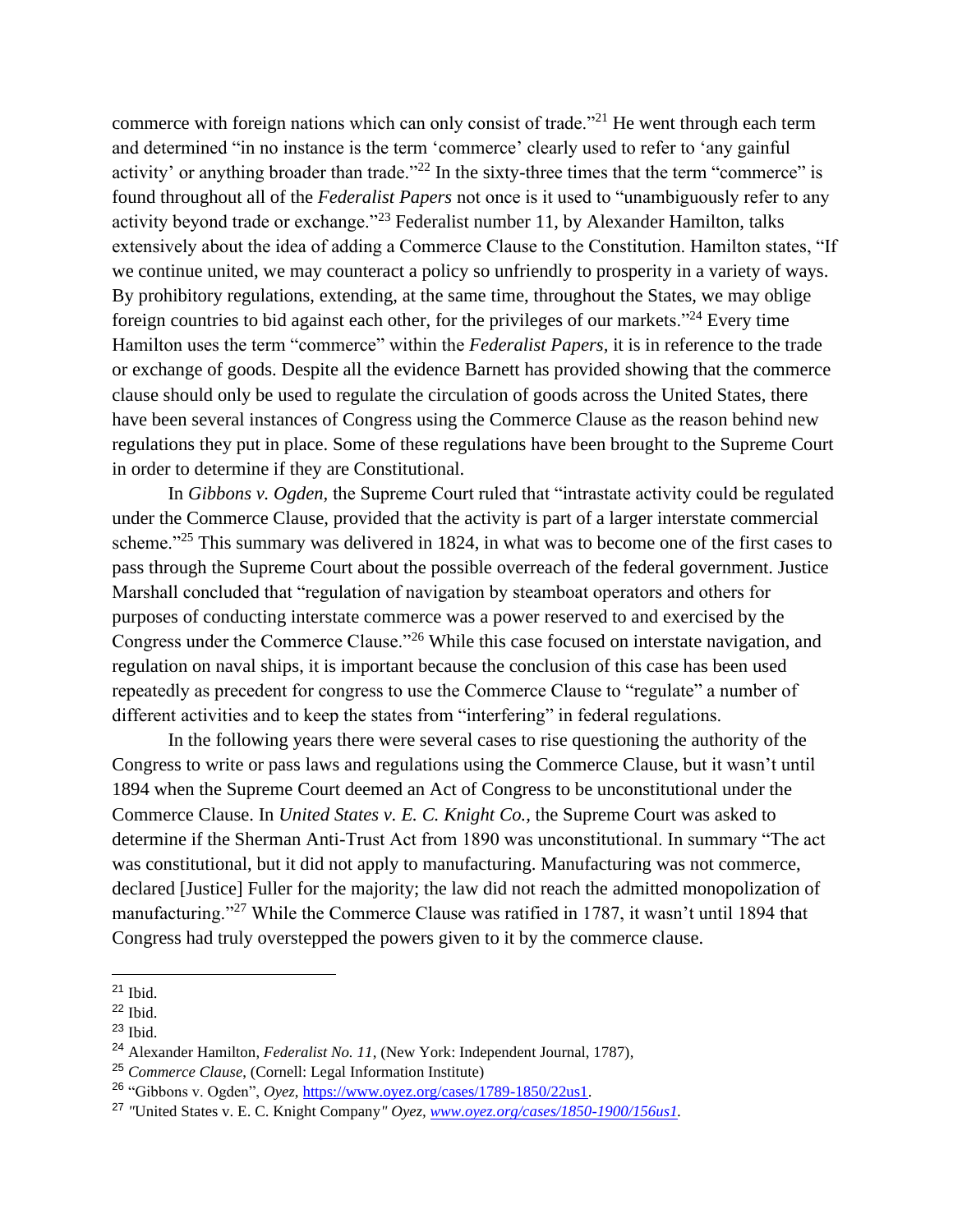commerce with foreign nations which can only consist of trade."<sup>21</sup> He went through each term and determined "in no instance is the term 'commerce' clearly used to refer to 'any gainful activity' or anything broader than trade."<sup>22</sup> In the sixty-three times that the term "commerce" is found throughout all of the *Federalist Papers* not once is it used to "unambiguously refer to any activity beyond trade or exchange."<sup>23</sup> Federalist number 11, by Alexander Hamilton, talks extensively about the idea of adding a Commerce Clause to the Constitution. Hamilton states, "If we continue united, we may counteract a policy so unfriendly to prosperity in a variety of ways. By prohibitory regulations, extending, at the same time, throughout the States, we may oblige foreign countries to bid against each other, for the privileges of our markets."<sup>24</sup> Every time Hamilton uses the term "commerce" within the *Federalist Papers,* it is in reference to the trade or exchange of goods. Despite all the evidence Barnett has provided showing that the commerce clause should only be used to regulate the circulation of goods across the United States, there have been several instances of Congress using the Commerce Clause as the reason behind new regulations they put in place. Some of these regulations have been brought to the Supreme Court in order to determine if they are Constitutional.

In *Gibbons v. Ogden,* the Supreme Court ruled that "intrastate activity could be regulated under the Commerce Clause, provided that the activity is part of a larger interstate commercial scheme."<sup>25</sup> This summary was delivered in 1824, in what was to become one of the first cases to pass through the Supreme Court about the possible overreach of the federal government. Justice Marshall concluded that "regulation of navigation by steamboat operators and others for purposes of conducting interstate commerce was a power reserved to and exercised by the Congress under the Commerce Clause."<sup>26</sup> While this case focused on interstate navigation, and regulation on naval ships, it is important because the conclusion of this case has been used repeatedly as precedent for congress to use the Commerce Clause to "regulate" a number of different activities and to keep the states from "interfering" in federal regulations.

In the following years there were several cases to rise questioning the authority of the Congress to write or pass laws and regulations using the Commerce Clause, but it wasn't until 1894 when the Supreme Court deemed an Act of Congress to be unconstitutional under the Commerce Clause. In *United States v. E. C. Knight Co.,* the Supreme Court was asked to determine if the Sherman Anti-Trust Act from 1890 was unconstitutional. In summary "The act was constitutional, but it did not apply to manufacturing. Manufacturing was not commerce, declared [Justice] Fuller for the majority; the law did not reach the admitted monopolization of manufacturing."<sup>27</sup> While the Commerce Clause was ratified in 1787, it wasn't until 1894 that Congress had truly overstepped the powers given to it by the commerce clause.

 $21$  Ibid.

<sup>22</sup> Ibid.

<sup>23</sup> Ibid.

<sup>24</sup> Alexander Hamilton, *Federalist No. 11*, (New York: Independent Journal, 1787),

<sup>25</sup> *Commerce Clause*, (Cornell: Legal Information Institute)

<sup>26</sup> "Gibbons v. Ogden", *Oyez*, [https://www.oyez.org/cases/1789-1850/22us1.](https://www.oyez.org/cases/1789-1850/22us1)

<sup>27</sup> *"*United States v. E. C. Knight Company*" Oyez, [www.oyez.org/cases/1850-1900/156us1.](http://www.oyez.org/cases/1850-1900/156us1)*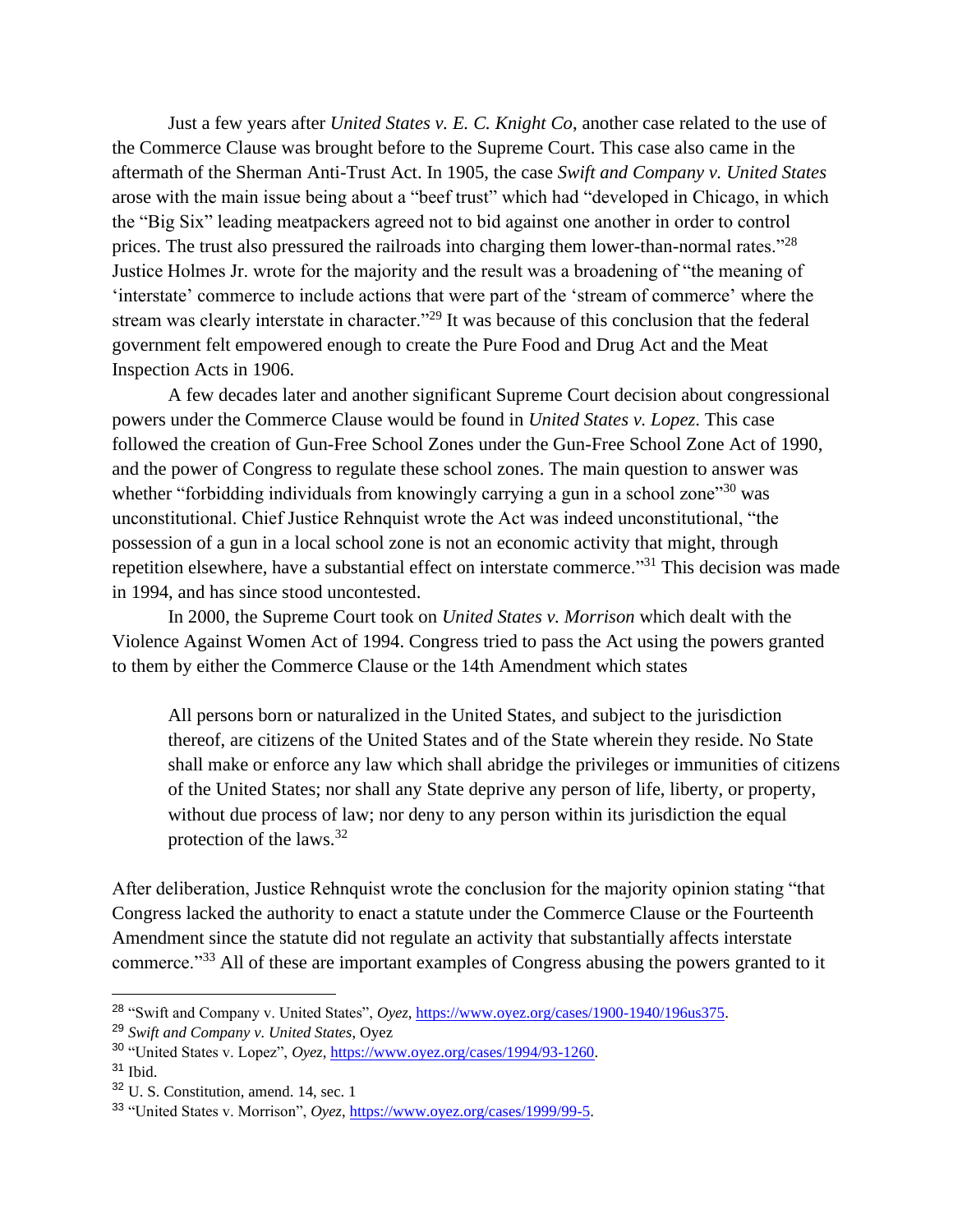Just a few years after *United States v. E. C. Knight Co*, another case related to the use of the Commerce Clause was brought before to the Supreme Court. This case also came in the aftermath of the Sherman Anti-Trust Act. In 1905, the case *Swift and Company v. United States* arose with the main issue being about a "beef trust" which had "developed in Chicago, in which the "Big Six" leading meatpackers agreed not to bid against one another in order to control prices. The trust also pressured the railroads into charging them lower-than-normal rates."<sup>28</sup> Justice Holmes Jr. wrote for the majority and the result was a broadening of "the meaning of 'interstate' commerce to include actions that were part of the 'stream of commerce' where the stream was clearly interstate in character."<sup>29</sup> It was because of this conclusion that the federal government felt empowered enough to create the Pure Food and Drug Act and the Meat Inspection Acts in 1906.

A few decades later and another significant Supreme Court decision about congressional powers under the Commerce Clause would be found in *United States v. Lopez*. This case followed the creation of Gun-Free School Zones under the Gun-Free School Zone Act of 1990, and the power of Congress to regulate these school zones. The main question to answer was whether "forbidding individuals from knowingly carrying a gun in a school zone"<sup>30</sup> was unconstitutional. Chief Justice Rehnquist wrote the Act was indeed unconstitutional, "the possession of a gun in a local school zone is not an economic activity that might, through repetition elsewhere, have a substantial effect on interstate commerce."<sup>31</sup> This decision was made in 1994, and has since stood uncontested.

In 2000, the Supreme Court took on *United States v. Morrison* which dealt with the Violence Against Women Act of 1994. Congress tried to pass the Act using the powers granted to them by either the Commerce Clause or the 14th Amendment which states

All persons born or naturalized in the United States, and subject to the jurisdiction thereof, are citizens of the United States and of the State wherein they reside. No State shall make or enforce any law which shall abridge the privileges or immunities of citizens of the United States; nor shall any State deprive any person of life, liberty, or property, without due process of law; nor deny to any person within its jurisdiction the equal protection of the laws.<sup>32</sup>

After deliberation, Justice Rehnquist wrote the conclusion for the majority opinion stating "that Congress lacked the authority to enact a statute under the Commerce Clause or the Fourteenth Amendment since the statute did not regulate an activity that substantially affects interstate commerce."<sup>33</sup> All of these are important examples of Congress abusing the powers granted to it

<sup>&</sup>lt;sup>28</sup> "Swift and Company v. United States", *Oyez*, [https://www.oyez.org/cases/1900-1940/196us375.](https://www.oyez.org/cases/1900-1940/196us375)

<sup>29</sup> *Swift and Company v. United States*, Oyez

<sup>30</sup> "United States v. Lopez", *Oyez*, [https://www.oyez.org/cases/1994/93-1260.](https://www.oyez.org/cases/1994/93-1260)

 $31$  Ibid.

<sup>32</sup> U. S. Constitution, amend. 14, sec. 1

<sup>33</sup> "United States v. Morrison", *Oyez*, [https://www.oyez.org/cases/1999/99-5.](https://www.oyez.org/cases/1999/99-5)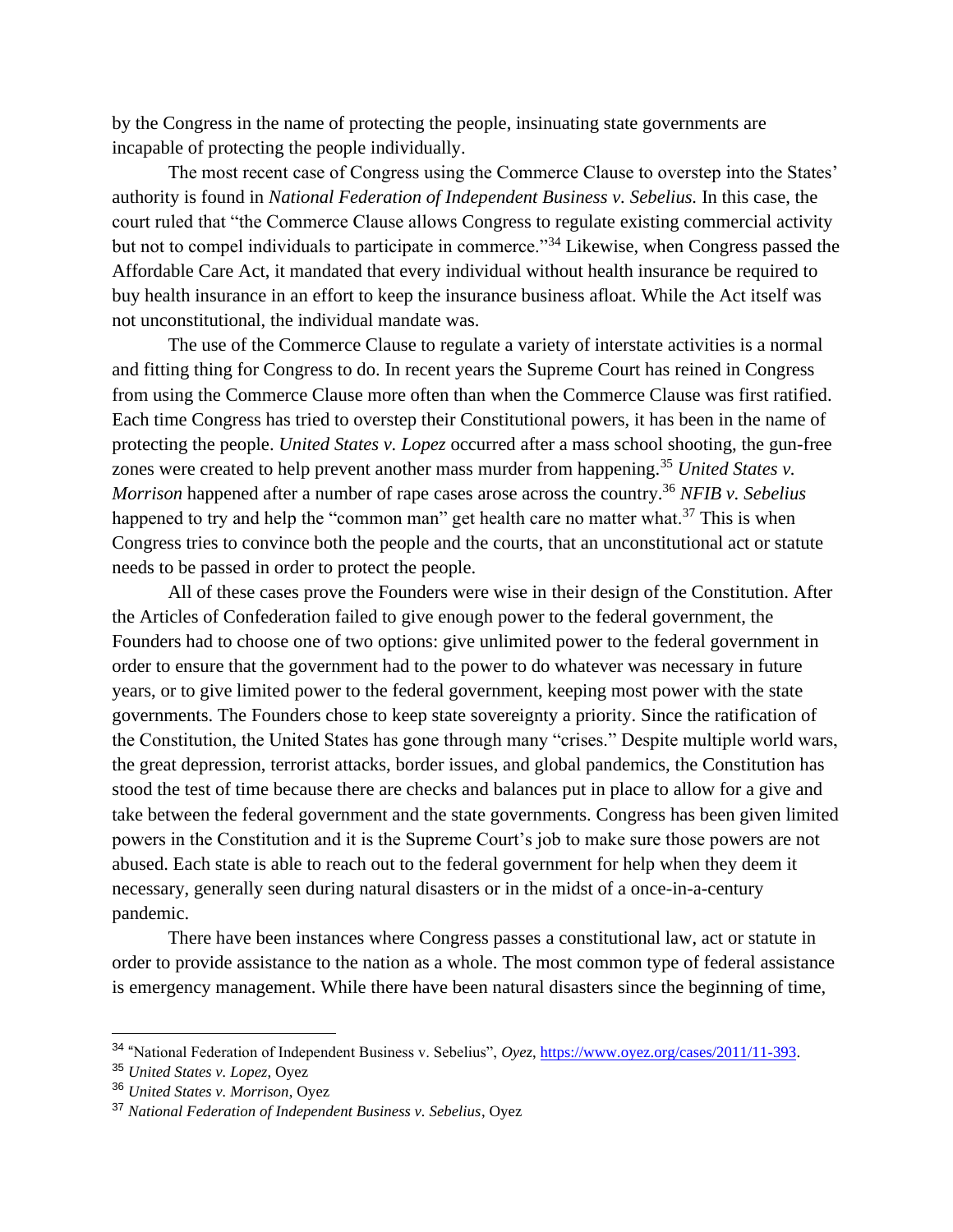by the Congress in the name of protecting the people, insinuating state governments are incapable of protecting the people individually.

The most recent case of Congress using the Commerce Clause to overstep into the States' authority is found in *National Federation of Independent Business v. Sebelius.* In this case, the court ruled that "the Commerce Clause allows Congress to regulate existing commercial activity but not to compel individuals to participate in commerce."<sup>34</sup> Likewise, when Congress passed the Affordable Care Act, it mandated that every individual without health insurance be required to buy health insurance in an effort to keep the insurance business afloat. While the Act itself was not unconstitutional, the individual mandate was.

The use of the Commerce Clause to regulate a variety of interstate activities is a normal and fitting thing for Congress to do. In recent years the Supreme Court has reined in Congress from using the Commerce Clause more often than when the Commerce Clause was first ratified. Each time Congress has tried to overstep their Constitutional powers, it has been in the name of protecting the people. *United States v. Lopez* occurred after a mass school shooting, the gun-free zones were created to help prevent another mass murder from happening.<sup>35</sup> *United States v. Morrison* happened after a number of rape cases arose across the country.<sup>36</sup> *NFIB v. Sebelius*  happened to try and help the "common man" get health care no matter what.<sup>37</sup> This is when Congress tries to convince both the people and the courts, that an unconstitutional act or statute needs to be passed in order to protect the people.

All of these cases prove the Founders were wise in their design of the Constitution. After the Articles of Confederation failed to give enough power to the federal government, the Founders had to choose one of two options: give unlimited power to the federal government in order to ensure that the government had to the power to do whatever was necessary in future years, or to give limited power to the federal government, keeping most power with the state governments. The Founders chose to keep state sovereignty a priority. Since the ratification of the Constitution, the United States has gone through many "crises." Despite multiple world wars, the great depression, terrorist attacks, border issues, and global pandemics, the Constitution has stood the test of time because there are checks and balances put in place to allow for a give and take between the federal government and the state governments. Congress has been given limited powers in the Constitution and it is the Supreme Court's job to make sure those powers are not abused. Each state is able to reach out to the federal government for help when they deem it necessary, generally seen during natural disasters or in the midst of a once-in-a-century pandemic.

There have been instances where Congress passes a constitutional law, act or statute in order to provide assistance to the nation as a whole. The most common type of federal assistance is emergency management. While there have been natural disasters since the beginning of time,

<sup>34</sup> "National Federation of Independent Business v. Sebelius", *Oyez*, [https://www.oyez.org/cases/2011/11-393.](https://www.oyez.org/cases/2011/11-393)

<sup>35</sup> *United States v. Lopez*, Oyez

<sup>36</sup> *United States v. Morrison*, Oyez

<sup>37</sup> *National Federation of Independent Business v. Sebelius*, Oyez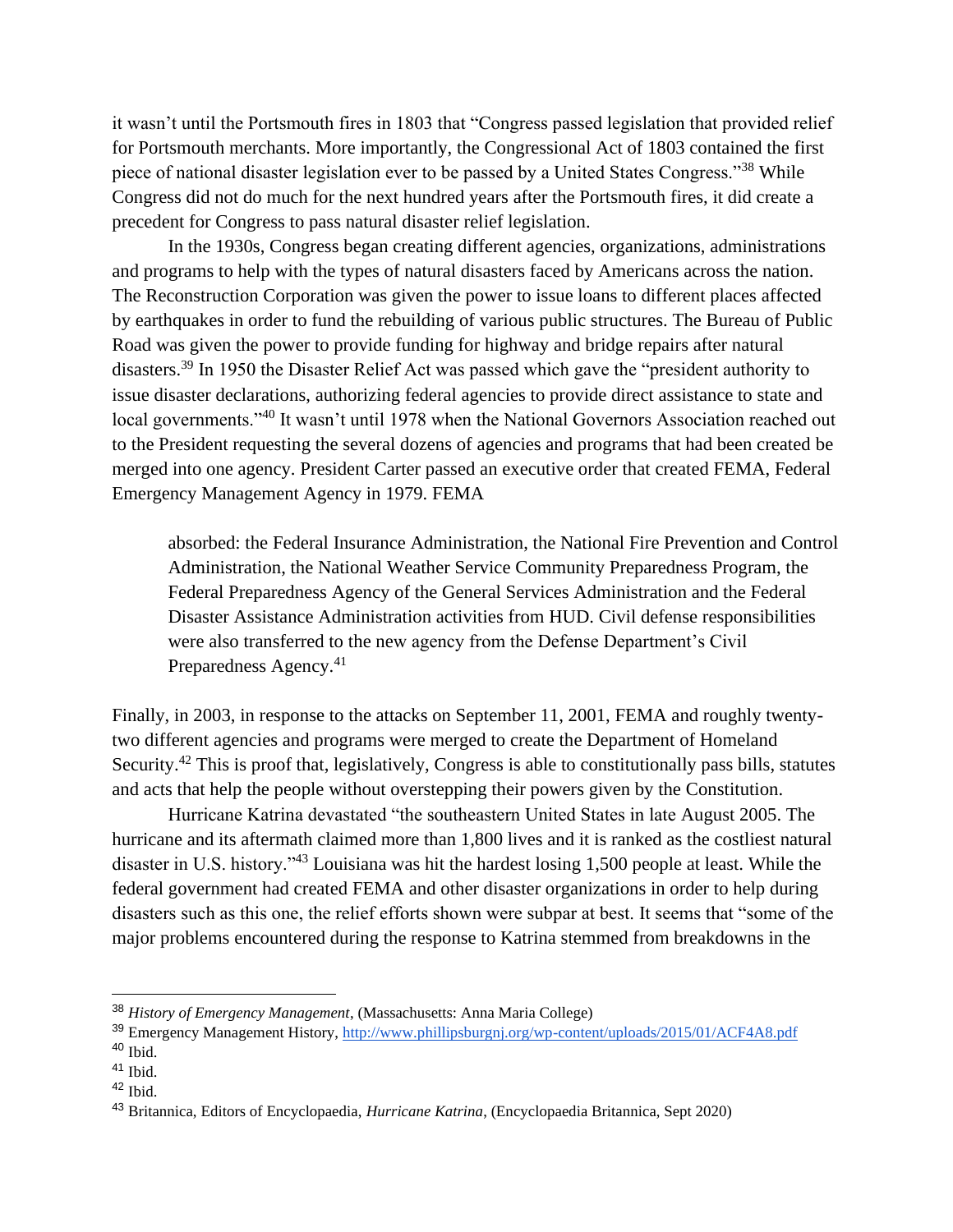it wasn't until the Portsmouth fires in 1803 that "Congress passed legislation that provided relief for Portsmouth merchants. More importantly, the Congressional Act of 1803 contained the first piece of national disaster legislation ever to be passed by a United States Congress."<sup>38</sup> While Congress did not do much for the next hundred years after the Portsmouth fires, it did create a precedent for Congress to pass natural disaster relief legislation.

In the 1930s, Congress began creating different agencies, organizations, administrations and programs to help with the types of natural disasters faced by Americans across the nation. The Reconstruction Corporation was given the power to issue loans to different places affected by earthquakes in order to fund the rebuilding of various public structures. The Bureau of Public Road was given the power to provide funding for highway and bridge repairs after natural disasters.<sup>39</sup> In 1950 the Disaster Relief Act was passed which gave the "president authority to issue disaster declarations, authorizing federal agencies to provide direct assistance to state and local governments."<sup>40</sup> It wasn't until 1978 when the National Governors Association reached out to the President requesting the several dozens of agencies and programs that had been created be merged into one agency. President Carter passed an executive order that created FEMA, Federal Emergency Management Agency in 1979. FEMA

absorbed: the Federal Insurance Administration, the National Fire Prevention and Control Administration, the National Weather Service Community Preparedness Program, the Federal Preparedness Agency of the General Services Administration and the Federal Disaster Assistance Administration activities from HUD. Civil defense responsibilities were also transferred to the new agency from the Defense Department's Civil Preparedness Agency.<sup>41</sup>

Finally, in 2003, in response to the attacks on September 11, 2001, FEMA and roughly twentytwo different agencies and programs were merged to create the Department of Homeland Security.<sup>42</sup> This is proof that, legislatively, Congress is able to constitutionally pass bills, statutes and acts that help the people without overstepping their powers given by the Constitution.

Hurricane Katrina devastated "the southeastern United States in late August 2005. The hurricane and its aftermath claimed more than 1,800 lives and it is ranked as the costliest natural disaster in U.S. history."<sup>43</sup> Louisiana was hit the hardest losing 1,500 people at least. While the federal government had created FEMA and other disaster organizations in order to help during disasters such as this one, the relief efforts shown were subpar at best. It seems that "some of the major problems encountered during the response to Katrina stemmed from breakdowns in the

<sup>38</sup> *History of Emergency Management*, (Massachusetts: Anna Maria College)

<sup>39</sup> Emergency Management History,<http://www.phillipsburgnj.org/wp-content/uploads/2015/01/ACF4A8.pdf>

 $40$  Ibid.

<sup>41</sup> Ibid.

 $42$  Ibid.

<sup>43</sup> Britannica, Editors of Encyclopaedia, *Hurricane Katrina*, (Encyclopaedia Britannica, Sept 2020)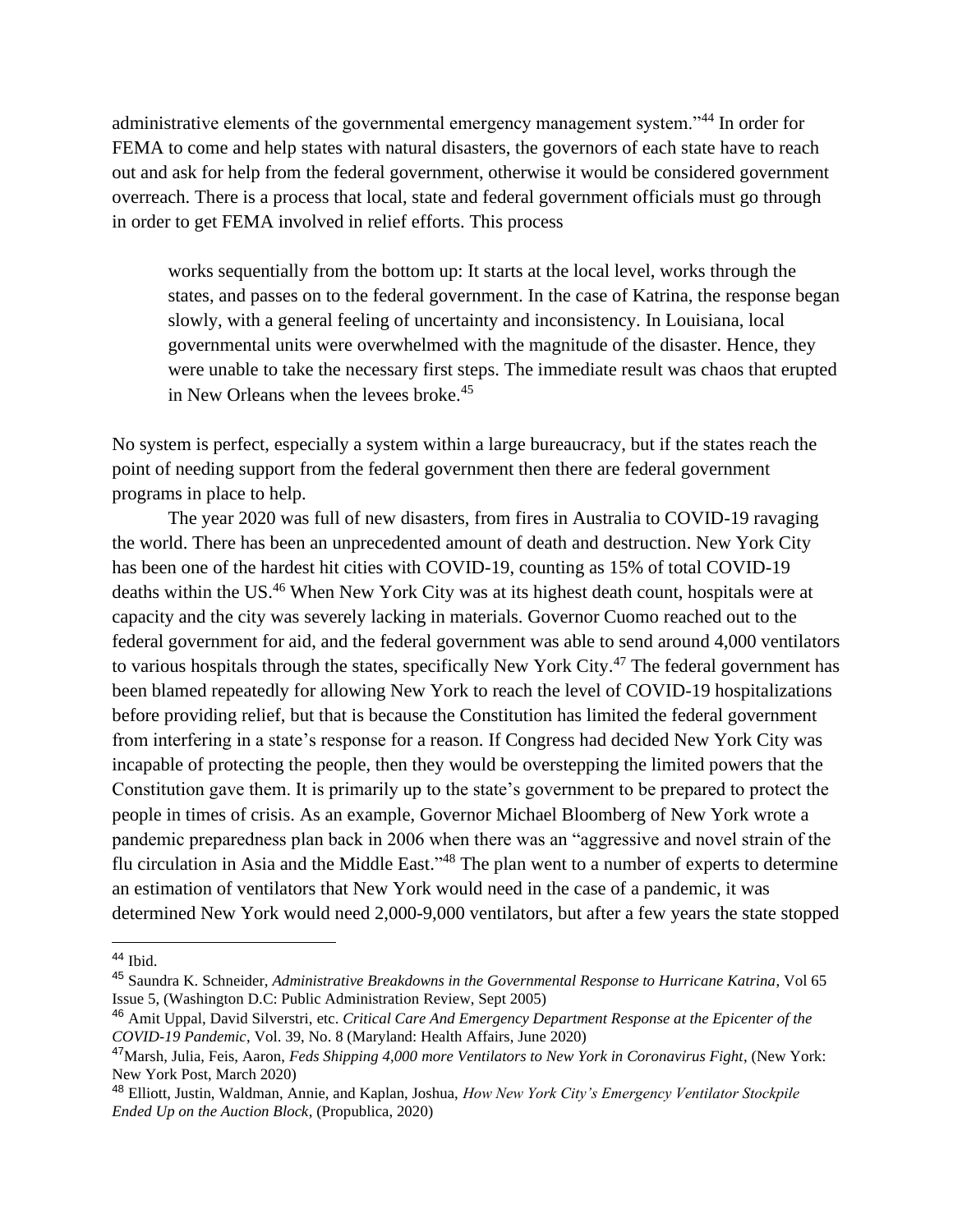administrative elements of the governmental emergency management system."<sup>44</sup> In order for FEMA to come and help states with natural disasters, the governors of each state have to reach out and ask for help from the federal government, otherwise it would be considered government overreach. There is a process that local, state and federal government officials must go through in order to get FEMA involved in relief efforts. This process

works sequentially from the bottom up: It starts at the local level, works through the states, and passes on to the federal government. In the case of Katrina, the response began slowly, with a general feeling of uncertainty and inconsistency. In Louisiana, local governmental units were overwhelmed with the magnitude of the disaster. Hence, they were unable to take the necessary first steps. The immediate result was chaos that erupted in New Orleans when the levees broke.<sup>45</sup>

No system is perfect, especially a system within a large bureaucracy, but if the states reach the point of needing support from the federal government then there are federal government programs in place to help.

The year 2020 was full of new disasters, from fires in Australia to COVID-19 ravaging the world. There has been an unprecedented amount of death and destruction. New York City has been one of the hardest hit cities with COVID-19, counting as 15% of total COVID-19 deaths within the US.<sup>46</sup> When New York City was at its highest death count, hospitals were at capacity and the city was severely lacking in materials. Governor Cuomo reached out to the federal government for aid, and the federal government was able to send around 4,000 ventilators to various hospitals through the states, specifically New York City.<sup>47</sup> The federal government has been blamed repeatedly for allowing New York to reach the level of COVID-19 hospitalizations before providing relief, but that is because the Constitution has limited the federal government from interfering in a state's response for a reason. If Congress had decided New York City was incapable of protecting the people, then they would be overstepping the limited powers that the Constitution gave them. It is primarily up to the state's government to be prepared to protect the people in times of crisis. As an example, Governor Michael Bloomberg of New York wrote a pandemic preparedness plan back in 2006 when there was an "aggressive and novel strain of the flu circulation in Asia and the Middle East."<sup>48</sup> The plan went to a number of experts to determine an estimation of ventilators that New York would need in the case of a pandemic, it was determined New York would need 2,000-9,000 ventilators, but after a few years the state stopped

<sup>44</sup> Ibid.

<sup>45</sup> Saundra K. Schneider, *Administrative Breakdowns in the Governmental Response to Hurricane Katrina*, Vol 65 Issue 5, (Washington D.C: Public Administration Review, Sept 2005)

<sup>46</sup> Amit Uppal, David Silverstri, etc. *Critical Care And Emergency Department Response at the Epicenter of the COVID-19 Pandemic*, Vol. 39, No. 8 (Maryland: Health Affairs, June 2020)

<sup>47</sup>Marsh, Julia, Feis, Aaron, *Feds Shipping 4,000 more Ventilators to New York in Coronavirus Fight*, (New York: New York Post, March 2020)

<sup>48</sup> Elliott, Justin, Waldman, Annie, and Kaplan, Joshua, *How New York City's Emergency Ventilator Stockpile Ended Up on the Auction Block*, (Propublica, 2020)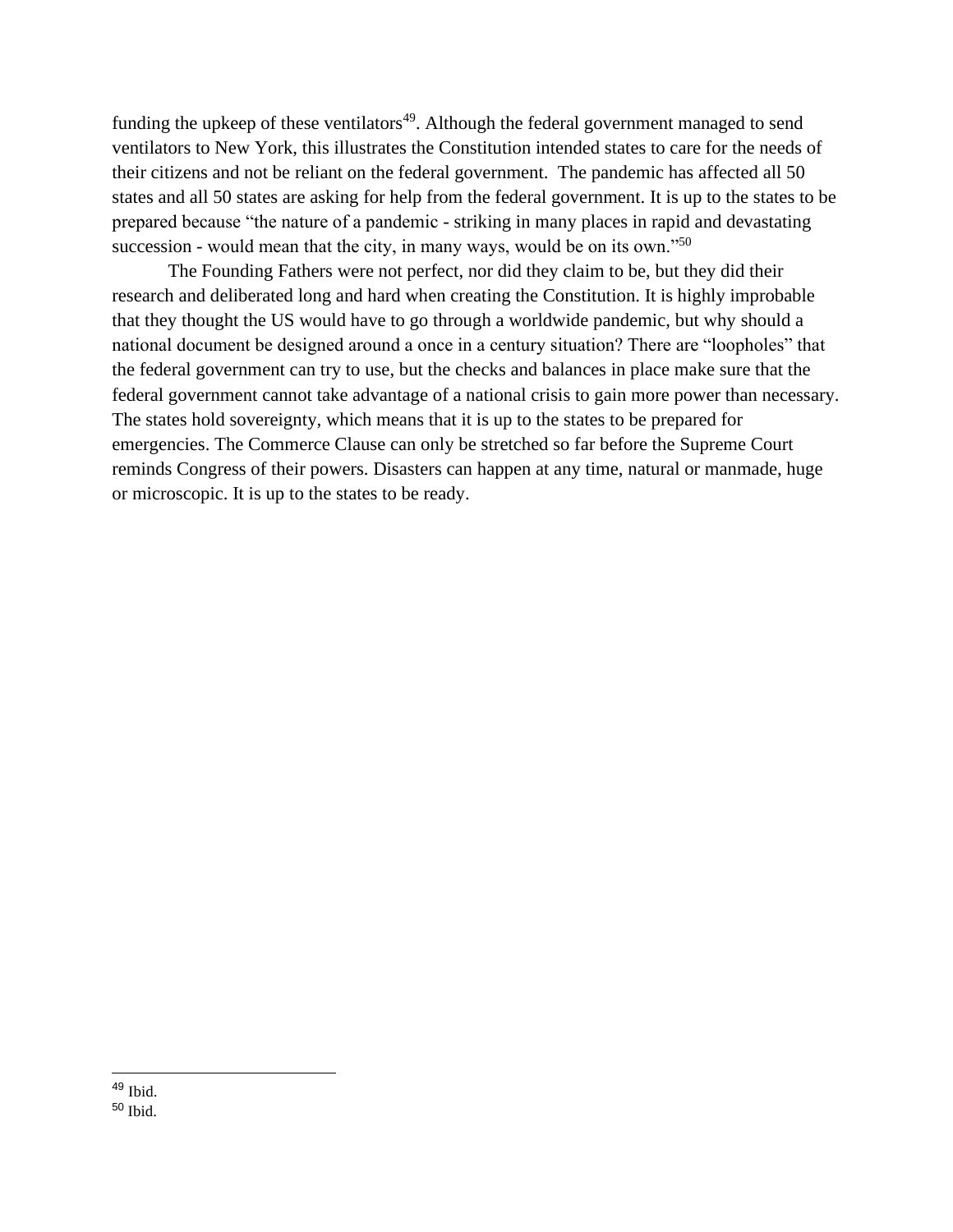funding the upkeep of these ventilators<sup>49</sup>. Although the federal government managed to send ventilators to New York, this illustrates the Constitution intended states to care for the needs of their citizens and not be reliant on the federal government. The pandemic has affected all 50 states and all 50 states are asking for help from the federal government. It is up to the states to be prepared because "the nature of a pandemic - striking in many places in rapid and devastating succession - would mean that the city, in many ways, would be on its own."<sup>50</sup>

The Founding Fathers were not perfect, nor did they claim to be, but they did their research and deliberated long and hard when creating the Constitution. It is highly improbable that they thought the US would have to go through a worldwide pandemic, but why should a national document be designed around a once in a century situation? There are "loopholes" that the federal government can try to use, but the checks and balances in place make sure that the federal government cannot take advantage of a national crisis to gain more power than necessary. The states hold sovereignty, which means that it is up to the states to be prepared for emergencies. The Commerce Clause can only be stretched so far before the Supreme Court reminds Congress of their powers. Disasters can happen at any time, natural or manmade, huge or microscopic. It is up to the states to be ready.

 $49$  Ibid.

<sup>50</sup> Ibid.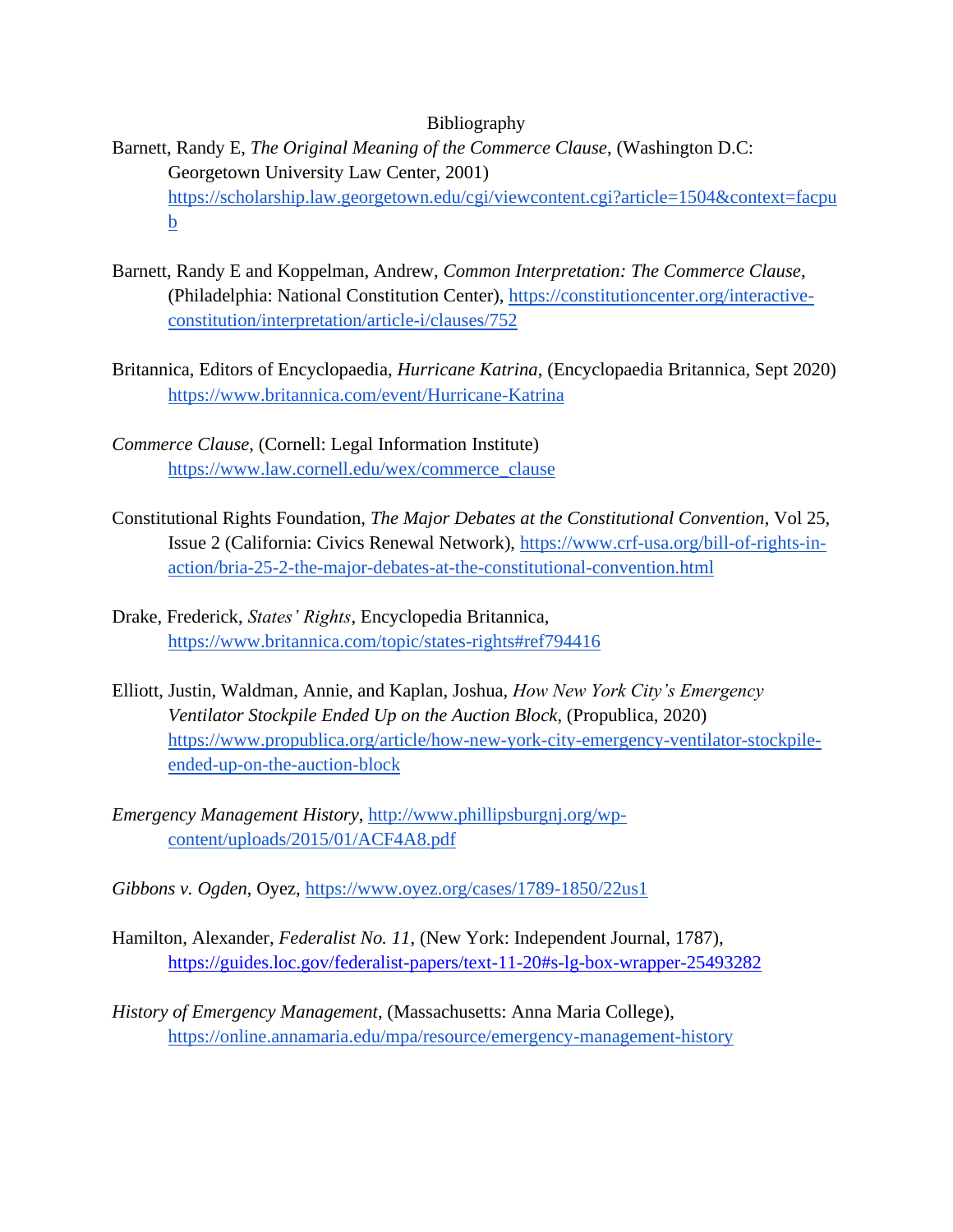## Bibliography

- Barnett, Randy E, *The Original Meaning of the Commerce Clause*, (Washington D.C: Georgetown University Law Center, 2001) [https://scholarship.law.georgetown.edu/cgi/viewcontent.cgi?article=1504&context=facpu](https://scholarship.law.georgetown.edu/cgi/viewcontent.cgi?article=1504&context=facpub) [b](https://scholarship.law.georgetown.edu/cgi/viewcontent.cgi?article=1504&context=facpub)
- Barnett, Randy E and Koppelman, Andrew, *Common Interpretation: The Commerce Clause*, (Philadelphia: National Constitution Center), [https://constitutioncenter.org/interactive](https://constitutioncenter.org/interactive-constitution/interpretation/article-i/clauses/752)[constitution/interpretation/article-i/clauses/752](https://constitutioncenter.org/interactive-constitution/interpretation/article-i/clauses/752)
- Britannica, Editors of Encyclopaedia, *Hurricane Katrina*, (Encyclopaedia Britannica, Sept 2020) <https://www.britannica.com/event/Hurricane-Katrina>
- *Commerce Clause*, (Cornell: Legal Information Institute) [https://www.law.cornell.edu/wex/commerce\\_clause](https://www.law.cornell.edu/wex/commerce_clause)
- Constitutional Rights Foundation, *The Major Debates at the Constitutional Convention*, Vol 25, Issue 2 (California: Civics Renewal Network), [https://www.crf-usa.org/bill-of-rights-in](https://www.crf-usa.org/bill-of-rights-in-action/bria-25-2-the-major-debates-at-the-constitutional-convention.html)[action/bria-25-2-the-major-debates-at-the-constitutional-convention.html](https://www.crf-usa.org/bill-of-rights-in-action/bria-25-2-the-major-debates-at-the-constitutional-convention.html)
- Drake, Frederick, *States' Rights*, Encyclopedia Britannica, <https://www.britannica.com/topic/states-rights#ref794416>
- Elliott, Justin, Waldman, Annie, and Kaplan, Joshua, *How New York City's Emergency Ventilator Stockpile Ended Up on the Auction Block*, (Propublica, 2020) [https://www.propublica.org/article/how-new-york-city-emergency-ventilator-stockpile](https://www.propublica.org/article/how-new-york-city-emergency-ventilator-stockpile-ended-up-on-the-auction-block)[ended-up-on-the-auction-block](https://www.propublica.org/article/how-new-york-city-emergency-ventilator-stockpile-ended-up-on-the-auction-block)
- *Emergency Management History*, [http://www.phillipsburgnj.org/wp](http://www.phillipsburgnj.org/wp-content/uploads/2015/01/ACF4A8.pdf)[content/uploads/2015/01/ACF4A8.pdf](http://www.phillipsburgnj.org/wp-content/uploads/2015/01/ACF4A8.pdf)
- *Gibbons v. Ogden*, Oyez,<https://www.oyez.org/cases/1789-1850/22us1>
- Hamilton, Alexander, *Federalist No. 11*, (New York: Independent Journal, 1787), <https://guides.loc.gov/federalist-papers/text-11-20#s-lg-box-wrapper-25493282>
- *History of Emergency Management*, (Massachusetts: Anna Maria College), <https://online.annamaria.edu/mpa/resource/emergency-management-history>